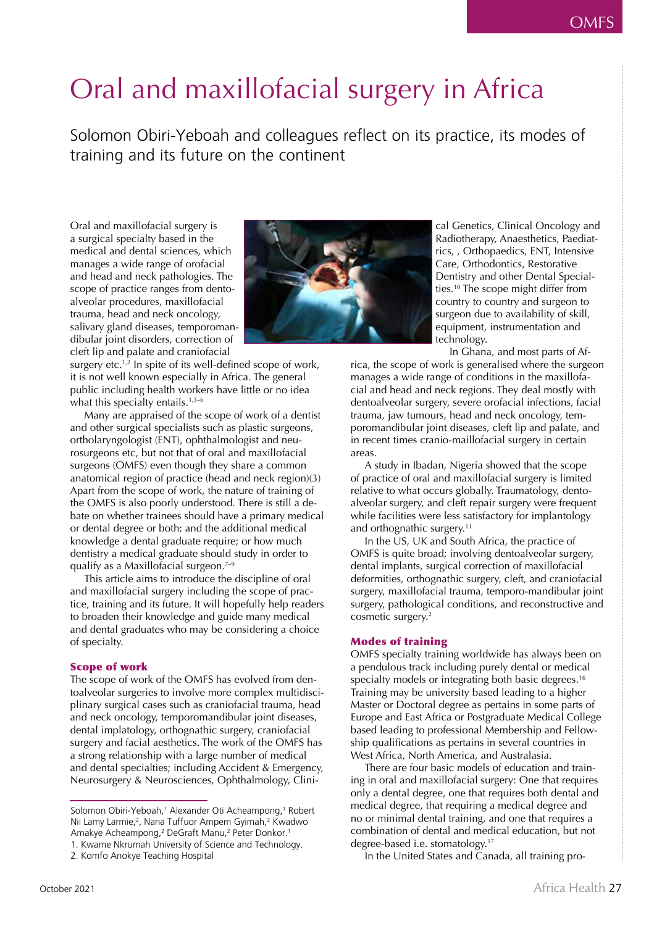# Oral and maxillofacial surgery in Africa

Solomon Obiri-Yeboah and colleagues reflect on its practice, its modes of training and its future on the continent

Oral and maxillofacial surgery is a surgical specialty based in the medical and dental sciences, which manages a wide range of orofacial and head and neck pathologies. The scope of practice ranges from dentoalveolar procedures, maxillofacial trauma, head and neck oncology, salivary gland diseases, temporomandibular joint disorders, correction of cleft lip and palate and craniofacial



surgery etc.<sup>1,2</sup> In spite of its well-defined scope of work, it is not well known especially in Africa. The general public including health workers have little or no idea what this specialty entails. $1,3-6$ 

Many are appraised of the scope of work of a dentist and other surgical specialists such as plastic surgeons, ortholaryngologist (ENT), ophthalmologist and neurosurgeons etc, but not that of oral and maxillofacial surgeons (OMFS) even though they share a common anatomical region of practice (head and neck region)(3) Apart from the scope of work, the nature of training of the OMFS is also poorly understood. There is still a debate on whether trainees should have a primary medical or dental degree or both; and the additional medical knowledge a dental graduate require; or how much dentistry a medical graduate should study in order to qualify as a Maxillofacial surgeon.<sup> $7-9$ </sup>

This article aims to introduce the discipline of oral and maxillofacial surgery including the scope of practice, training and its future. It will hopefully help readers to broaden their knowledge and guide many medical and dental graduates who may be considering a choice of specialty.

# Scope of work

The scope of work of the OMFS has evolved from dentoalveolar surgeries to involve more complex multidisciplinary surgical cases such as craniofacial trauma, head and neck oncology, temporomandibular joint diseases, dental implatology, orthognathic surgery, craniofacial surgery and facial aesthetics. The work of the OMFS has a strong relationship with a large number of medical and dental specialties; including Accident & Emergency, Neurosurgery & Neurosciences, Ophthalmology, Clini-

In the United States and Canada, all training pro-

cal Genetics, Clinical Oncology and Radiotherapy, Anaesthetics, Paediatrics, , Orthopaedics, ENT, Intensive Care, Orthodontics, Restorative Dentistry and other Dental Specialties.10 The scope might differ from country to country and surgeon to surgeon due to availability of skill, equipment, instrumentation and technology.

In Ghana, and most parts of Af-

rica, the scope of work is generalised where the surgeon manages a wide range of conditions in the maxillofacial and head and neck regions. They deal mostly with dentoalveolar surgery, severe orofacial infections, facial trauma, jaw tumours, head and neck oncology, temporomandibular joint diseases, cleft lip and palate, and in recent times cranio-maillofacial surgery in certain areas.

A study in Ibadan, Nigeria showed that the scope of practice of oral and maxillofacial surgery is limited relative to what occurs globally. Traumatology, dentoalveolar surgery, and cleft repair surgery were frequent while facilities were less satisfactory for implantology and orthognathic surgery.<sup>11</sup>

In the US, UK and South Africa, the practice of OMFS is quite broad; involving dentoalveolar surgery, dental implants, surgical correction of maxillofacial deformities, orthognathic surgery, cleft, and craniofacial surgery, maxillofacial trauma, temporo-mandibular joint surgery, pathological conditions, and reconstructive and cosmetic surgery.<sup>2</sup>

# Modes of training

OMFS specialty training worldwide has always been on a pendulous track including purely dental or medical specialty models or integrating both basic degrees.<sup>16</sup> Training may be university based leading to a higher Master or Doctoral degree as pertains in some parts of Europe and East Africa or Postgraduate Medical College based leading to professional Membership and Fellowship qualifications as pertains in several countries in West Africa, North America, and Australasia.

There are four basic models of education and training in oral and maxillofacial surgery: One that requires only a dental degree, one that requires both dental and medical degree, that requiring a medical degree and no or minimal dental training, and one that requires a combination of dental and medical education, but not degree-based i.e. stomatology.17

Solomon Obiri-Yeboah,1 Alexander Oti Acheampong,1 Robert Nii Lamy Larmie,<sup>2</sup>, Nana Tuffuor Ampem Gyimah,<sup>2</sup> Kwadwo Amakye Acheampong,2 DeGraft Manu,2 Peter Donkor.1 1. Kwame Nkrumah University of Science and Technology.

<sup>2.</sup> Komfo Anokye Teaching Hospital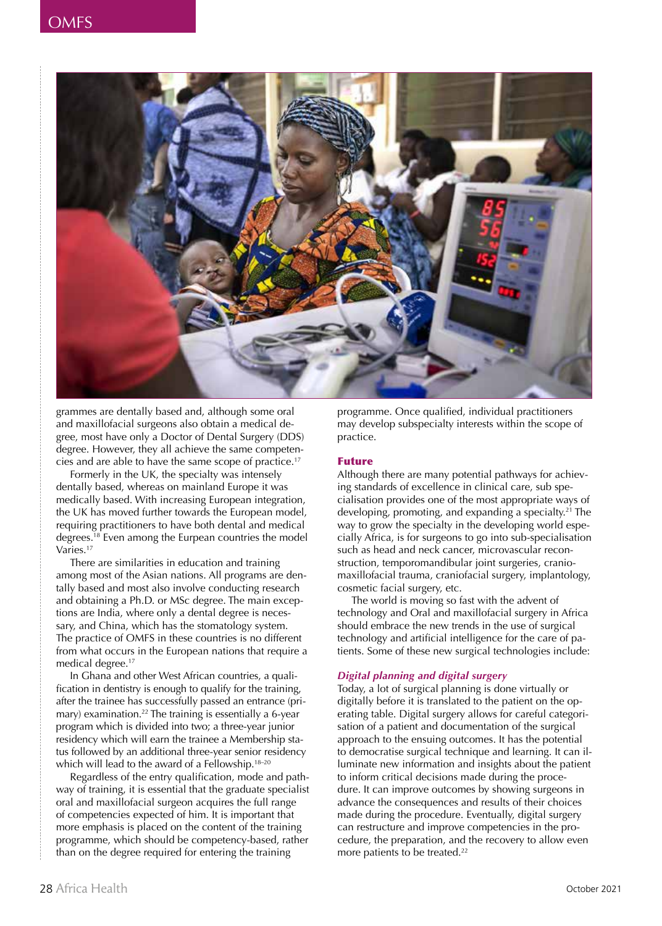

grammes are dentally based and, although some oral and maxillofacial surgeons also obtain a medical degree, most have only a Doctor of Dental Surgery (DDS) degree. However, they all achieve the same competencies and are able to have the same scope of practice.17

Formerly in the UK, the specialty was intensely dentally based, whereas on mainland Europe it was medically based. With increasing European integration, the UK has moved further towards the European model, requiring practitioners to have both dental and medical degrees.18 Even among the Eurpean countries the model Varies.17

There are similarities in education and training among most of the Asian nations. All programs are dentally based and most also involve conducting research and obtaining a Ph.D. or MSc degree. The main exceptions are India, where only a dental degree is necessary, and China, which has the stomatology system. The practice of OMFS in these countries is no different from what occurs in the European nations that require a medical degree.<sup>17</sup>

In Ghana and other West African countries, a qualification in dentistry is enough to qualify for the training, after the trainee has successfully passed an entrance (primary) examination.<sup>22</sup> The training is essentially a 6-year program which is divided into two; a three-year junior residency which will earn the trainee a Membership status followed by an additional three-year senior residency which will lead to the award of a Fellowship.<sup>18-20</sup>

Regardless of the entry qualification, mode and pathway of training, it is essential that the graduate specialist oral and maxillofacial surgeon acquires the full range of competencies expected of him. It is important that more emphasis is placed on the content of the training programme, which should be competency-based, rather than on the degree required for entering the training

programme. Once qualified, individual practitioners may develop subspecialty interests within the scope of practice.

#### Future

Although there are many potential pathways for achieving standards of excellence in clinical care, sub specialisation provides one of the most appropriate ways of developing, promoting, and expanding a specialty.<sup>21</sup> The way to grow the specialty in the developing world especially Africa, is for surgeons to go into sub-specialisation such as head and neck cancer, microvascular reconstruction, temporomandibular joint surgeries, craniomaxillofacial trauma, craniofacial surgery, implantology, cosmetic facial surgery, etc.

The world is moving so fast with the advent of technology and Oral and maxillofacial surgery in Africa should embrace the new trends in the use of surgical technology and artificial intelligence for the care of patients. Some of these new surgical technologies include:

# *Digital planning and digital surgery*

Today, a lot of surgical planning is done virtually or digitally before it is translated to the patient on the operating table. Digital surgery allows for careful categorisation of a patient and documentation of the surgical approach to the ensuing outcomes. It has the potential to democratise surgical technique and learning. It can illuminate new information and insights about the patient to inform critical decisions made during the procedure. It can improve outcomes by showing surgeons in advance the consequences and results of their choices made during the procedure. Eventually, digital surgery can restructure and improve competencies in the procedure, the preparation, and the recovery to allow even more patients to be treated.<sup>22</sup>